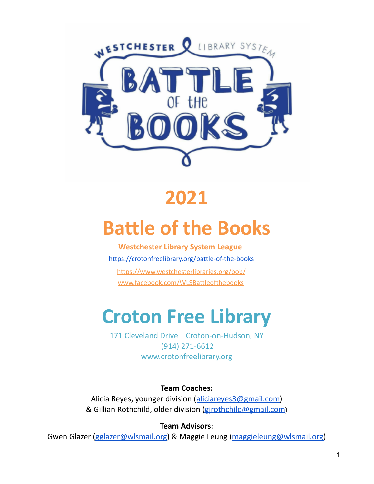

## **2021**

# **Battle of the Books**

**Westchester Library System League** <https://crotonfreelibrary.org/battle-of-the-books> https://www.westchesterlibraries.org/bob/ www.facebook.com/WLSBattleofthebooks

## **Croton Free Library**

171 Cleveland Drive | Croton-on-Hudson, NY (914) 271-6612 www.crotonfreelibrary.org

**Team Coaches:**

Alicia Reyes, younger division ([aliciareyes3@gmail.com](mailto:aliciareyes3@gmail.com)) & Gillian Rothchild, older division (gjrothchild@gmail.com)

**Team Advisors:**

Gwen Glazer [\(gglazer@wlsmail.org\)](mailto:gglazer@wlsmail.org) & Maggie Leung ([maggieleung@wlsmail.org\)](mailto:mleung@wlsmail.org)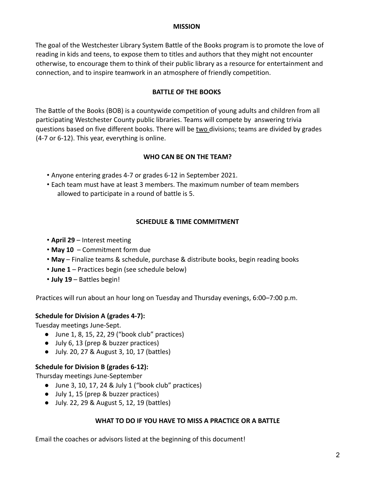#### **MISSION**

The goal of the Westchester Library System Battle of the Books program is to promote the love of reading in kids and teens, to expose them to titles and authors that they might not encounter otherwise, to encourage them to think of their public library as a resource for entertainment and connection, and to inspire teamwork in an atmosphere of friendly competition.

## **BATTLE OF THE BOOKS**

The Battle of the Books (BOB) is a countywide competition of young adults and children from all participating Westchester County public libraries. Teams will compete by answering trivia questions based on five different books. There will be two divisions; teams are divided by grades (4-7 or 6-12). This year, everything is online.

## **WHO CAN BE ON THE TEAM?**

- Anyone entering grades 4-7 or grades 6-12 in September 2021.
- Each team must have at least 3 members. The maximum number of team members allowed to participate in a round of battle is 5.

## **SCHEDULE & TIME COMMITMENT**

- **April 29** Interest meeting
- **May 10** Commitment form due
- **May** Finalize teams & schedule, purchase & distribute books, begin reading books
- **June 1** Practices begin (see schedule below)
- **July 19** Battles begin!

Practices will run about an hour long on Tuesday and Thursday evenings, 6:00–7:00 p.m.

## **Schedule for Division A (grades 4-7):**

Tuesday meetings June-Sept.

- $\bullet$  June 1, 8, 15, 22, 29 ("book club" practices)
- July 6, 13 (prep & buzzer practices)
- July. 20, 27 & August 3, 10, 17 (battles)

## **Schedule for Division B (grades 6-12):**

Thursday meetings June-September

- June 3, 10, 17, 24 & July 1 ("book club" practices)
- July 1, 15 (prep & buzzer practices)
- July. 22, 29 & August 5, 12, 19 (battles)

## **WHAT TO DO IF YOU HAVE TO MISS A PRACTICE OR A BATTLE**

Email the coaches or advisors listed at the beginning of this document!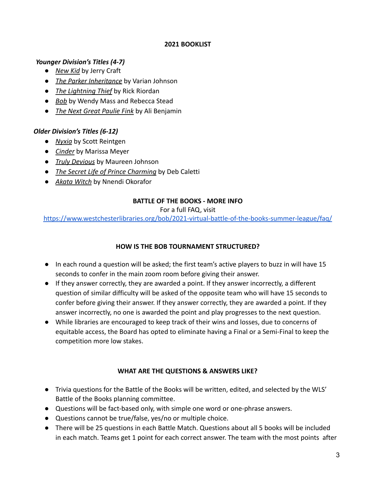#### **2021 BOOKLIST**

#### *Younger Division's Titles (4-7)*

- *New Kid* by Jerry Craft
- *The Parker Inheritance* by Varian Johnson
- *The Lightning Thief* by Rick Riordan
- *Bob* by Wendy Mass and Rebecca Stead
- *The Next Great Paulie Fink* by Ali Benjamin

## *Older Division's Titles (6-12)*

- *Nyxia* by Scott Reintgen
- *Cinder* by Marissa Meyer
- *Truly Devious* by Maureen Johnson
- *The Secret Life of Prince Charming* by Deb Caletti
- *Akata Witch* by Nnendi Okorafor

## **BATTLE OF THE BOOKS - MORE INFO**

#### For a full FAQ, visit

<https://www.westchesterlibraries.org/bob/2021-virtual-battle-of-the-books-summer-league/faq/>

## **HOW IS THE BOB TOURNAMENT STRUCTURED?**

- In each round a question will be asked; the first team's active players to buzz in will have 15 seconds to confer in the main zoom room before giving their answer.
- If they answer correctly, they are awarded a point. If they answer incorrectly, a different question of similar difficulty will be asked of the opposite team who will have 15 seconds to confer before giving their answer. If they answer correctly, they are awarded a point. If they answer incorrectly, no one is awarded the point and play progresses to the next question.
- While libraries are encouraged to keep track of their wins and losses, due to concerns of equitable access, the Board has opted to eliminate having a Final or a Semi-Final to keep the competition more low stakes.

## **WHAT ARE THE QUESTIONS & ANSWERS LIKE?**

- Trivia questions for the Battle of the Books will be written, edited, and selected by the WLS' Battle of the Books planning committee.
- Questions will be fact-based only, with simple one word or one-phrase answers.
- Questions cannot be true/false, yes/no or multiple choice.
- There will be 25 questions in each Battle Match. Questions about all 5 books will be included in each match. Teams get 1 point for each correct answer. The team with the most points after